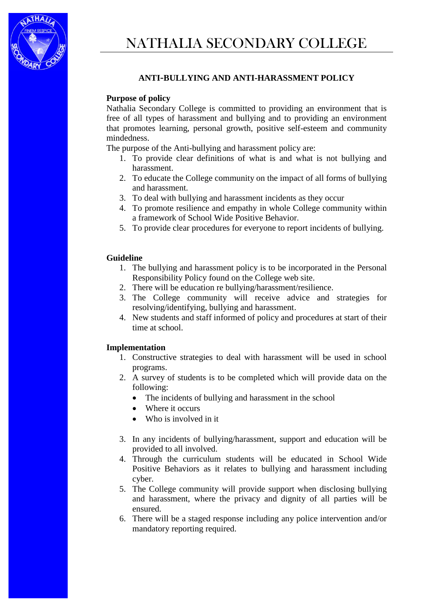

## **ANTI-BULLYING AND ANTI-HARASSMENT POLICY**

## **Purpose of policy**

Nathalia Secondary College is committed to providing an environment that is free of all types of harassment and bullying and to providing an environment that promotes learning, personal growth, positive self-esteem and community mindedness.

The purpose of the Anti-bullying and harassment policy are:

- 1. To provide clear definitions of what is and what is not bullying and harassment.
- 2. To educate the College community on the impact of all forms of bullying and harassment.
- 3. To deal with bullying and harassment incidents as they occur
- 4. To promote resilience and empathy in whole College community within a framework of School Wide Positive Behavior.
- 5. To provide clear procedures for everyone to report incidents of bullying.

## **Guideline**

- 1. The bullying and harassment policy is to be incorporated in the Personal Responsibility Policy found on the College web site.
- 2. There will be education re bullying/harassment/resilience.
- 3. The College community will receive advice and strategies for resolving/identifying, bullying and harassment.
- 4. New students and staff informed of policy and procedures at start of their time at school.

## **Implementation**

- 1. Constructive strategies to deal with harassment will be used in school programs.
- 2. A survey of students is to be completed which will provide data on the following:
	- The incidents of bullying and harassment in the school
	- Where it occurs
	- Who is involved in it.
- 3. In any incidents of bullying/harassment, support and education will be provided to all involved.
- 4. Through the curriculum students will be educated in School Wide Positive Behaviors as it relates to bullying and harassment including cyber.
- 5. The College community will provide support when disclosing bullying and harassment, where the privacy and dignity of all parties will be ensured.
- 6. There will be a staged response including any police intervention and/or mandatory reporting required.